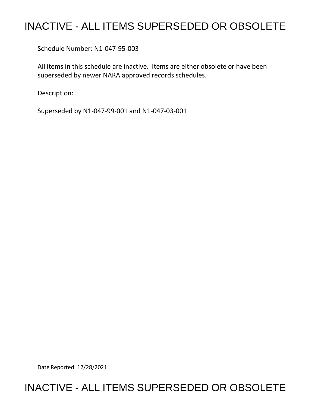# INACTIVE - ALL ITEMS SUPERSEDED OR OBSOLETE

Schedule Number: N1-047-95-003

 All items in this schedule are inactive. Items are either obsolete or have been superseded by newer NARA approved records schedules.

Description:

Superseded by N1-047-99-001 and N1-047-03-001

Date Reported: 12/28/2021

# INACTIVE - ALL ITEMS SUPERSEDED OR OBSOLETE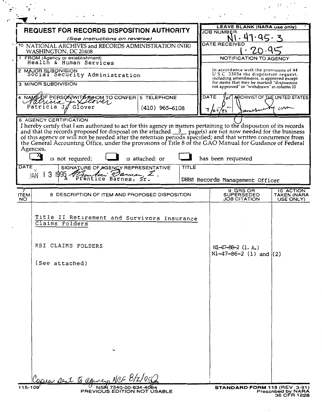|                                                                                          |                                                                                                                                                                                                                                                                                                                                                                                                                                                                                                                         |                          |  | <b>LEAVE BLANK (NARA use only)</b>                                                                                                                                                                                     |                                       |  |
|------------------------------------------------------------------------------------------|-------------------------------------------------------------------------------------------------------------------------------------------------------------------------------------------------------------------------------------------------------------------------------------------------------------------------------------------------------------------------------------------------------------------------------------------------------------------------------------------------------------------------|--------------------------|--|------------------------------------------------------------------------------------------------------------------------------------------------------------------------------------------------------------------------|---------------------------------------|--|
|                                                                                          | <b>REQUEST FOR RECORDS DISPOSITION AUTHORITY</b>                                                                                                                                                                                                                                                                                                                                                                                                                                                                        |                          |  | <b>JOB NUMBER</b>                                                                                                                                                                                                      |                                       |  |
|                                                                                          | (See Instructions on reverse)                                                                                                                                                                                                                                                                                                                                                                                                                                                                                           |                          |  | $\cdot$ q $\subset$ .<br><b>DATE RECEIVED</b>                                                                                                                                                                          |                                       |  |
| <sup>TO</sup> NATIONAL ARCHIVES and RECORDS ADMINISTRATION (NIR)<br>WASHINGTON, DC 20408 |                                                                                                                                                                                                                                                                                                                                                                                                                                                                                                                         |                          |  |                                                                                                                                                                                                                        |                                       |  |
| 1 FROM (Agency or establishment)<br>Health & Human Services                              |                                                                                                                                                                                                                                                                                                                                                                                                                                                                                                                         |                          |  | NOTIFICATION TO AGENCY                                                                                                                                                                                                 |                                       |  |
| 2 MAJOR SUBDIVISION<br>Social Security Administration                                    |                                                                                                                                                                                                                                                                                                                                                                                                                                                                                                                         |                          |  | In accordance with the provisions of 44<br>U.S.C. 3303a the disposition request,<br>including amendments, is approved except<br>for items that may be marked "disposition<br>not approved" or "withdrawn" in column 10 |                                       |  |
| <b>3 MINOR SUBDIVISION</b>                                                               |                                                                                                                                                                                                                                                                                                                                                                                                                                                                                                                         |                          |  |                                                                                                                                                                                                                        |                                       |  |
|                                                                                          | A NAME OF PERSON WITH A HOM TO CONFER 5 TELEPHONE                                                                                                                                                                                                                                                                                                                                                                                                                                                                       |                          |  | <b>DATE</b><br>ARCHIVIST OF THE UNITED STATES                                                                                                                                                                          |                                       |  |
|                                                                                          | Patricia $J/\!\!/$ Glover                                                                                                                                                                                                                                                                                                                                                                                                                                                                                               | $(410)$ 965-6108         |  | $rac{1}{2}$                                                                                                                                                                                                            |                                       |  |
| Agencies,<br><b>DATE</b>                                                                 | I hereby certify that I am authorized to act for this agency in matters pertaining to the disposition of its records and that the records proposed for disposal on the attached $\frac{3}{2}$ page(s) are not now needed for the<br>of this agency or will not be needed after the retention periods specified; and that written concurrence from<br>the General Accounting Office, under the provisions of Title 8 of the GAO Manual for Guidance of Federal<br>is not required;<br>SIGNATURE OF AGENCY REPRESENTATIVE | is attached; or<br>TITLE |  | has been requested                                                                                                                                                                                                     |                                       |  |
| JAN                                                                                      | 3<br>$1995$ Prentice Barnes, Sr.                                                                                                                                                                                                                                                                                                                                                                                                                                                                                        |                          |  | DHHS Records Management Officer                                                                                                                                                                                        |                                       |  |
| <b>ITEM</b><br>NO.                                                                       | 8 DESCRIPTION OF ITEM AND PROPOSED DISPOSITION                                                                                                                                                                                                                                                                                                                                                                                                                                                                          |                          |  | 9 GRS OR<br><b>SUPERSEDED</b><br><b>JOB CITATION</b>                                                                                                                                                                   | 10 ACTION<br>TAKEN (NARA<br>USE ONLY) |  |
|                                                                                          | Title II Retirement and Survivors Insurance<br>Claims Folders<br>RSI CLAIMS FOLDERS<br>(See attached)                                                                                                                                                                                                                                                                                                                                                                                                                   |                          |  | $M-47-88-2$ (1. A.)<br>$N1-47-86-2$ (1) and (2)                                                                                                                                                                        |                                       |  |
|                                                                                          |                                                                                                                                                                                                                                                                                                                                                                                                                                                                                                                         |                          |  |                                                                                                                                                                                                                        |                                       |  |

 $\sim$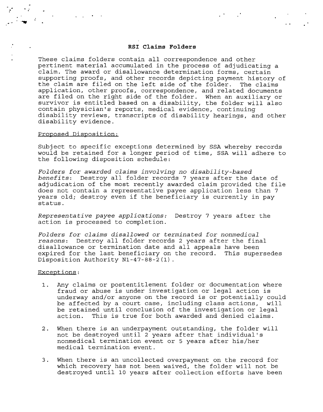### **RSI Claims Folders**

 $\mathcal{L}(\mathcal{F})$  and  $\mathcal{L}(\mathcal{F})$  . The set of  $\mathcal{L}(\mathcal{F})$ 

These claims folders contain all correspondence and other pertinent material accumulated in the process of adjudicating a claim. The award or disallowance determination forms, certain supporting proofs, and other records depicting payment history of the claim are filed on the left side of the folder. The claims application, other proofs, correspondence, and related documents are filed on the right side of the folder. When an auxiliary or survivor is entitled based on a disability, the folder will also contain physician's reports, medical evidence, continuing disability reviews, transcripts of disability hearings, and other disability evidence.

#### Proposed Disposition:

Subject to specific exceptions determined by SSA whereby records would be retained for a longer period of time, SSA will adhere to the following disposition schedule:

*Folders for awarded claims involving no disability-based benefits:* Destroy all folder records 7 years after the date of adjudication of the most recently awarded claim provided the file does not contain a representative payee application less than 7 years old; destroy even if the beneficiary is currently in pay status.

*Representative payee applications:* Destroy 7 years after the action is processed to completion.

*Folders for claims disallowed* or *terminated for nonmedical reasons:* Destroy all folder records 2 years after the final disallowance or termination date and all appeals have been expired for the last beneficiary on the record. This supersedes Disposition Authority Nl-47-88-2(1).

#### Exceptions:

- 1. Any claims or postentitlement folder or documentation where fraud or abuse is under investigation or legal action is underway and/or anyone on the record is or potentially could be affected by a court case, including class actions, will be retained until conclusion of the investigation or legal action. This is true for both awarded and denied claims.
- 2. When there is an underpayment outstanding, the folder will not be destroyed until 2 years after that individual's nonmedical termination event or 5 years after his/her medical termination event.
- 3. When there is an uncollected overpayment on the record for which recovery has not been waived, the folder will not be destroyed until 10 years after collection efforts have been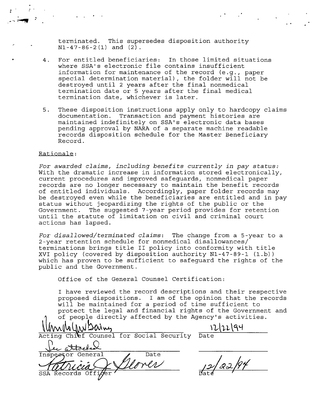terminated. This supersedes disposition authority **Nl-47-86-2(1) and (2).** 

 $\mathcal{L}(\mathcal{F})$  and  $\mathcal{L}(\mathcal{F})$  and  $\mathcal{L}(\mathcal{F})$ 

- 4. For entitled beneficiaries: In those limited situations where SSA's electronic file contains insufficient information for maintenance of the record (e.g., paper special determination material), the folder will not be destroyed until 2 years after the final nonmedical termination date or 5 years after the final medical termination date, whichever is later.
- 5. These disposition instructions apply only to hardcopy claims documentation. Transaction and payment histories are maintained indefinitely on SSA's electronic data bases pending approval by NARA of a separate machine readable records disposition schedule for the Master Beneficiary Record.

### Rationale:

*For awarded claims, including benefits currently in pay status:*  With the dramatic increase in information stored electronically, current procedures and improved safeguards, nonmedical paper records are no longer necessary to maintain the benefit records of entitled individuals. Accordingly, paper folder records may be destroyed even while the beneficiaries are entitled and in pay status without jeopardizing the rights of the public or the Government. The suggested 7-year period provides for retention until the statute of limitation on civil and criminal court actions has lapsed.

*For disallowed/terminated claims:* The change from a 5-year to a 2-year retention schedule for nonmedical disallowances/ terminations brings title II policy into conformity with title XVI policy (covered by disposition authority Nl-47-89-1 (1.b)) which has proven to be sufficient to safeguard the rights of the public and the Government.

Office of the General Counsel Certification:

I have reviewed the record descriptions and their respective proposed dispositions. I am of the opinion that the records will be maintained for a period of time sufficient to protect the legal and financial rights of the Government and

of people directly affected by the Agency's activities.<br>Mulh (IN) Divides <u>Mulhel</u> Date<br>Eting Chilef Counsel for Social State<br>Le Atoeles de Date WWWWWWWWWAINDOWALLOCONDUCTER THE MARKET OUTSELLOCAL SECURITY THE MARKET OUTSELLOCAL SECURITY Date  $122/94$ SSA Records Off: